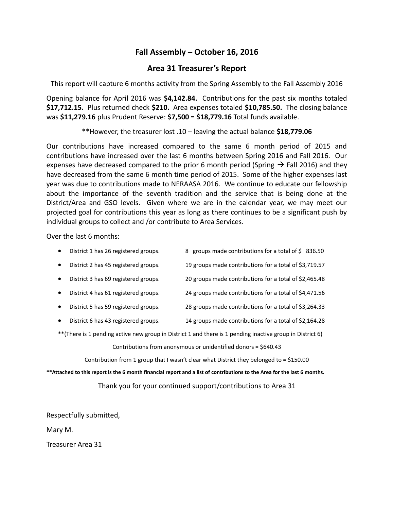## **Fall Assembly – October 16, 2016**

## **Area 31 Treasurer's Report**

This report will capture 6 months activity from the Spring Assembly to the Fall Assembly 2016

Opening balance for April 2016 was **\$4,142.84.** Contributions for the past six months totaled **\$17,712.15.** Plus returned check **\$210.** Area expenses totaled **\$10,785.50.** The closing balance was **\$11,279.16** plus Prudent Reserve: **\$7,500** = **\$18,779.16** Total funds available.

\*\*However, the treasurer lost .10 – leaving the actual balance **\$18,779.06**

Our contributions have increased compared to the same 6 month period of 2015 and contributions have increased over the last 6 months between Spring 2016 and Fall 2016. Our expenses have decreased compared to the prior 6 month period (Spring  $\rightarrow$  Fall 2016) and they have decreased from the same 6 month time period of 2015. Some of the higher expenses last year was due to contributions made to NERAASA 2016. We continue to educate our fellowship about the importance of the seventh tradition and the service that is being done at the District/Area and GSO levels. Given where we are in the calendar year, we may meet our projected goal for contributions this year as long as there continues to be a significant push by individual groups to collect and /or contribute to Area Services.

Over the last 6 months:

| $\bullet$ | District 1 has 26 registered groups. | 8 groups made contributions for a total of \$836.50    |  |
|-----------|--------------------------------------|--------------------------------------------------------|--|
| $\bullet$ | District 2 has 45 registered groups. | 19 groups made contributions for a total of \$3,719.57 |  |
| $\bullet$ | District 3 has 69 registered groups. | 20 groups made contributions for a total of \$2,465.48 |  |
| $\bullet$ | District 4 has 61 registered groups. | 24 groups made contributions for a total of \$4,471.56 |  |
| $\bullet$ | District 5 has 59 registered groups. | 28 groups made contributions for a total of \$3,264.33 |  |
| $\bullet$ | District 6 has 43 registered groups. | 14 groups made contributions for a total of \$2,164.28 |  |

\*\*(There is 1 pending active new group in District 1 and there is 1 pending inactive group in District 6)

Contributions from anonymous or unidentified donors = \$640.43

Contribution from 1 group that I wasn't clear what District they belonged to = \$150.00

**\*\*Attached to this report is the 6 month financial report and a list of contributions to the Area for the last 6 months.**

Thank you for your continued support/contributions to Area 31

Respectfully submitted,

Mary M.

Treasurer Area 31